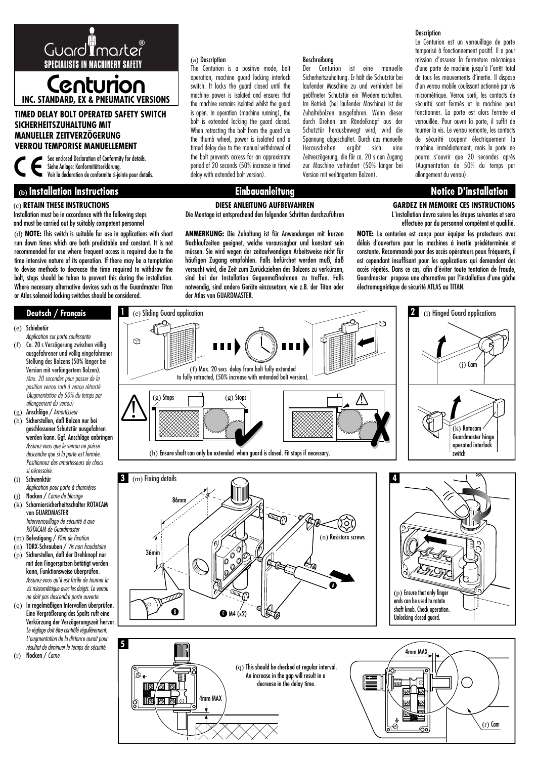

**INC. STANDARD, EX & PNEUMATIC VERSIONS** Centurion

# **TIMED DELAY BOLT OPERATED SAFETY SWITCH SICHERHEITSZUHALTUNG MIT MANUELLER ZEITVERZÖGERUNG VERROU TEMPORISE MANUELLEMENT**

See enclosed Declaration of Conformity for details. Siehe Anlage: Konformitätserklärung. Voir la declaration de conformite ci-jointe pour details.

# **(b) Installation Instructions Notice D'installation Einbauanleitung**

## (c) **RETAIN THESE INSTRUCTIONS**

Installation must be in accordance with the following steps and must be carried out by suitably competent personnel

(d) **NOTE:** This switch is suitable for use in applications with short run down times which are both predictable and constant. It is not recommended for use where frequent access is required due to the time intensive nature of its operation. If there may be a temptation to devise methods to decrease the time required to withdraw the bolt, steps should be taken to prevent this during the installation. Where necessary alternative devices such as the Guardmaster Titan or Atlas solenoid locking switches should be considered.

# **Deutsch / Français**

- (e) Schiebetür
- Application sur porte coulissante (f) Ca. 20 s Verzögerung zwischen völlig ausgefahrener und völlig eingefahrener Stellung des Bolzens (50% länger bei Version mit verlängertem Bolzen). Max. 20 secondes pour passer de la position verrou sorti à verrou rétracté (Augmentation de 50% du temps par allongement du verrou)
- (g) Anschläge / Amortisseur (h) Sicherstellen, daß Bolzen nur bei geschlossener Schutztür ausgefahren werden kann. Ggf. Anschläge anbringen Assurez-vous que le verrou ne puisse descendre que si la porte est fermée. Positionnez des amortisseurs de chocs si nécessaire.
- (i) Schwenktür Application pour porte à charnières
- (j) Nocken / Came de blocage (k) Scharniersicherheitsschalter ROTACAM
- von GUARDMASTER Interverrouillage de sécurité à axe ROTACAM de Guardmaster
- (m) Befestigung / Plan de fixation (n) TORX-Schrauben / Vis non fraudatoire
- (p) Sicherstellen, daß der Drehknopf nur mit den Fingerspitzen betätigt werden kann, Funktionsweise überprüfen. Assurez-vous qu'il est facile de tourner la vis micrométrique avec les doigts. Le verrou ne doit pas descendre porte ouverte.
- (q) In regelmäßigen Intervallen überprüfen. Eine Vergrößerung des Spalts ruft eine Verkürzung der Verzögerungszeit hervor. Le réglage doit être contrôlé régulièrement. L'augmentation de la distance aurait pour résultat de diminuer le temps de sécurité.
- (r) Nocken / Came

# (a) Description

The Centurion is a positive mode, bolt operation, machine guard locking interlock switch. It locks the guard closed until the machine power is isolated and ensures that the machine remains isolated whilst the guard is open. In operation (machine running), the bolt is extended locking the guard closed. When retracting the bolt from the guard via the thumb wheel, power is isolated and a timed delay due to the manual withdrawal of the bolt prevents access for an approximate period of 20 seconds (50% increase in timed delay with extended bolt version).

### Beschreibung

Der Centurion ist eine manuelle Sicherheitszuhaltung. Er hält die Schutztür bei laufender Maschine zu und verhindert bei geöffneter Schutztür ein Wiedereinschalten. Im Betrieb (bei laufender Maschine) ist der Zuhaltebolzen ausgefahren. Wenn dieser durch Drehen am Rändelknopf aus der Schutztür herausbewegt wird, wird die Spannung abgeschaltet. Durch das manuelle<br>Herausdrehen ergibt sich eine Herausdrehen Zeitverzögerung, die für ca. 20 s den Zugang zur Maschine verhindert (50% länger bei Version mit verlängertem Bolzen).

### **Description**

Le Centurion est un verrouillage de porte temporisé à fonctionnement positif. Il a pour mission d'assurer la fermeture mécanique d'une porte de machine jusqu'à l'arrêt total de tous les mouvements d'inertie. Il dispose d'un verrou mobile coulissant actionné par vis micrométrique. Verrou sorti, les contacts de sécurité sont fermés et la machine peut fonctionner. La porte est alors fermée et verrouillée. Pour ouvrir la porte, il suffit de tourner la vis. Le verrou remonte, les contacts de sécurité coupent électriquement la machine immédiatement, mais la porte ne pourra s'ouvrir que 20 secondes après .<br>(Augmentation de 50% du temps par allongement du verrou).

## **DIESE ANLEITUNG AUFBEWAHREN**

## Die Montage ist entsprechend den folgenden Schritten durchzuführen

**ANMERKUNG:** Die Zuhaltung ist für Anwendungen mit kurzen Nachlaufzeiten geeignet, welche voraussagbar und konstant sein müssen. Sie wird wegen der zeitaufwendigen Arbeitsweise nicht für häufigen Zugang empfohlen. Falls befürchet werden muß, daß versucht wird, die Zeit zum Zurückziehen des Bolzens zu verkürzen, sind bei der Installation Gegenmaßnahmen zu treffen. Falls notwendig, sind andere Geräte einzusetzen, wie z.B. der Titan oder der Atlas von GUARDMASTER.

**GARDEZ EN MEMOIRE CES INSTRUCTIONS** L'installation devra suivre les étapes suivantes et sera effectuée par du personnel compétent et qualifié.

**NOTE:** Le centurion est conçu pour équiper les protecteurs avec délais d'ouverture pour les machines à inertie prédéterminée et constante. Recommandé pour des accès opérateurs peux fréquents, il est cependant insuffisant pour les applications qui demandent des accès répétés. Dans ce cas, afin d'éviter toute tentation de fraude, Guardmaster propose une alternative par l'installation d'une gâche électromagnétique de sécurité ATLAS ou TITAN.



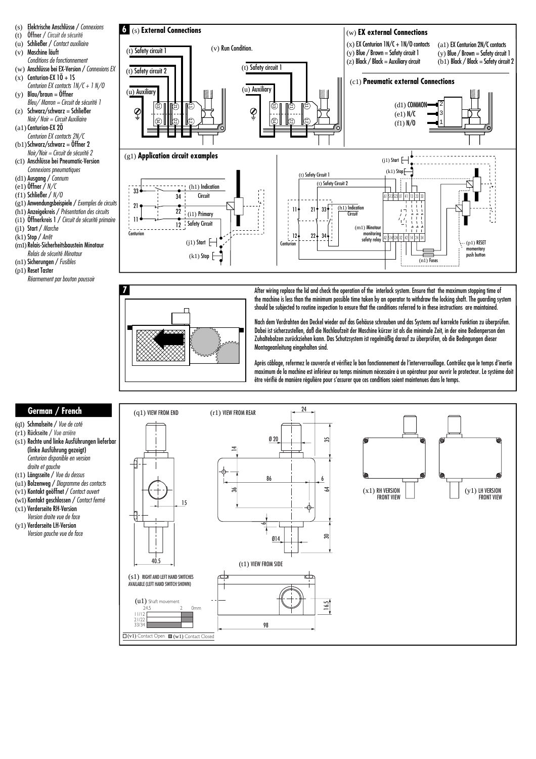- (s) Elektrische Anschlüsse / Connexions<br>(t) Öffner / Circuit de sécurité
- Öffner / Circuit de sécurité
- (u) Schließer / Contact auxiliaire
- (v) Maschine läuft
- Conditions de fonctionnement
- (w) Anschlüsse bei EX-Version / Connexions EX  $(x)$  Centurion-EX  $10 + 15$
- Centurion EX contacts  $1N/C + 1 N/O$
- $(y)$  Blau/braun = Öffner Bleu/ Marron = Circuit de sécurité 1
- (z) Schwarz/schwarz = Schließer Noir/ Noir = Circuit Auxiliaire
- $(a1)$  Centurion-EX 20 Centurion EX contacts 2N/C
- (b1) Schwarz/schwarz = Öffner 2 Noir/Noir = Circuit de sécurité 2
- (c1) Anschlüsse bei Pneumatic-Version Connexions pneumatiques
- (d1) Ausgang / Connum
- (e1)  $0$ ffner  $/N/C$
- (f1) Schließer / N/O
- (g1) Anwendungsbeispiele / Exemples de circuits
- (h1) Anzeigekreis / Présentation des circuits
- (i1) Öffnerkreis 1 / Circuit de sécurité primaire
- (j1) Start / Marche
- $(k1)$  Stop / Arrêt
- (m1) Relais-Sicherheitsbaustein Minotaur Relais de sécurité Minotaur
- (n1) Sicherungen / Fusibles
- (p1) Reset Taster
- Réarmement par bouton poussoir





After wiring replace the lid and check the operation of the interlock system. Ensure that the maximum stopping time of the machine is less than the minimum possible time taken by an operator to withdraw the locking shaft. The guarding system should be subjected to routine inspection to ensure that the conditions referred to in these instructions are maintained.

Nach dem Verdrahten den Deckel wieder auf das Gehäuse schrauben und das Systems auf korrekte Funktion zu überprüfen. Dabei ist sicherzustellen, daß die Nachlaufzeit der Maschine kürzer ist als die minimale Zeit, in der eine Bedienperson den Zuhaltebolzen zurückziehen kann. Das Schutzsystem ist regelmäßig darauf zu überprüfen, ob die Bedingungen dieser Montageanleitung eingehalten sind.

Après câblage, refermez le couvercle et vérifiez le bon fonctionnement de l'interverrouillage. Contrôlez que le temps d'inertie maximum de la machine est inférieur au temps minimum nécessaire à un opérateur pour ouvrir le protecteur. Le système doit être vérifié de manière régulière pour s'assurer que ces conditions soient maintenues dans le temps.

# **German / French**

- (q1) Schmalseite / Vue de coté
- (r1) Rückseite / Vue arrière
- (s1) Rechte und linke Ausführungen lieferbar (linke Ausführung gezeigt) Centurion disponible en version droite et gauche
- (t1) Längsseite / Vue du dessus
- (u1) Bolzenweg / Diagramme des contacts (v1) Kontakt geöffnet / Contact ouvert
- (w1) Kontakt geschlossen / Contact fermé
- (x1) Verderseite RH-Version Version droite vue de face
- (y1) Verderseite LH-Version Version gauche vue de face

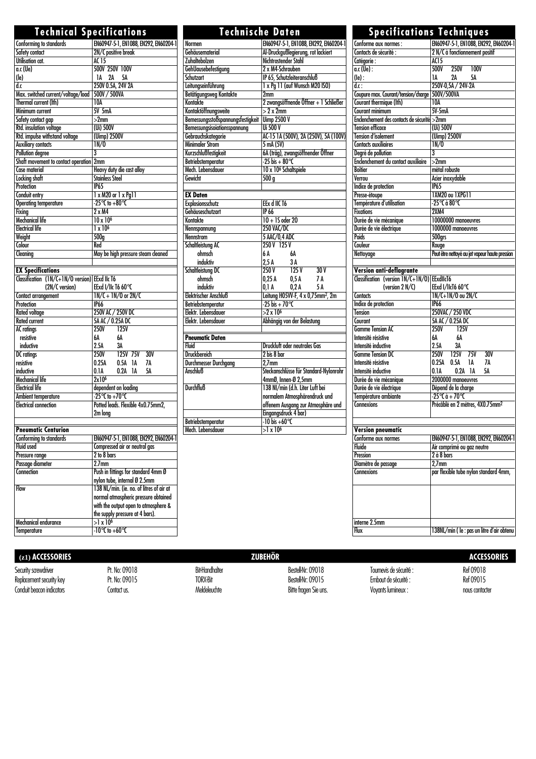| <b>Technical Specifications</b>                |                                                                              |  |  |
|------------------------------------------------|------------------------------------------------------------------------------|--|--|
| Conforming to standards                        | EN60947-5-1, EN1088, EN292, EN60204-1                                        |  |  |
| Safety contact                                 | 2N/C positive break                                                          |  |  |
| Utilisation cat.                               | AC15                                                                         |  |  |
| a.c (Ue)                                       | 500V 250V 100V                                                               |  |  |
| (le)                                           | 5Α<br>1A 2A                                                                  |  |  |
| d.c                                            | 250V 0.5A, 24V 2A                                                            |  |  |
| Max. switched current/voltage/load             | 500V / 500VA                                                                 |  |  |
| Thermal current (lth)                          | 10A                                                                          |  |  |
| Minimum current                                | $5V$ 5mA                                                                     |  |  |
| Safety contact gap                             | $>2$ mm                                                                      |  |  |
| Rtd. insulation voltage                        | (Ui) 500V                                                                    |  |  |
| Rtd. impulse withstand voltage                 | (Uimp) 2500V                                                                 |  |  |
| <b>Auxiliary contacts</b>                      | 1N/0                                                                         |  |  |
| <b>Pollution degree</b>                        | 3                                                                            |  |  |
| Shaft movement to contact operation            | 2 <sub>mm</sub>                                                              |  |  |
| Case material                                  | Heavy duty die cast alloy                                                    |  |  |
| Locking shaft                                  | <b>Stainless Steel</b>                                                       |  |  |
| Protection                                     | IP65                                                                         |  |  |
| <b>Conduit entry</b>                           | 1 x M20 or 1 x Pg11                                                          |  |  |
| <b>Operating temperature</b>                   | $-25^\circ$ C to +80 $^\circ$ C                                              |  |  |
| Fixing                                         | $2 \times M4$                                                                |  |  |
| <b>Mechanical life</b>                         | $10 \times 10^{6}$                                                           |  |  |
| <b>Electrical life</b>                         | $1 \times 10^6$                                                              |  |  |
| Weight                                         | 500 <sub>g</sub>                                                             |  |  |
| <b>Colour</b>                                  | Red                                                                          |  |  |
| Cleanina                                       | May be high pressure steam cleaned                                           |  |  |
|                                                |                                                                              |  |  |
| <b>EX Specifications</b>                       |                                                                              |  |  |
| Classification (1N/C+1N/O version) EExd IIc T6 |                                                                              |  |  |
| (2N/C version)                                 | EExd I/IIc T6 60°C                                                           |  |  |
| Contact arrangement                            | $1N/C + 1N/0$ or $2N/C$                                                      |  |  |
| Protection                                     | <b>TP66</b>                                                                  |  |  |
| <b>Rated voltage</b>                           | 250V AC / 250V DC                                                            |  |  |
| <b>Rated current</b>                           | 5A AC / 0.25A DC                                                             |  |  |
| <b>AC</b> ratings                              | 250V<br>125V                                                                 |  |  |
| resistive                                      | 6A<br><b>6A</b>                                                              |  |  |
| inductive                                      | 2.5A<br>3Α                                                                   |  |  |
| DC ratings                                     | <b>125V 75V</b><br><b>250V</b><br><b>30V</b>                                 |  |  |
| resistive                                      | 0.25A<br>0.5A 1A<br>7А                                                       |  |  |
| inductive                                      | 0.1A<br>0.2A 1A<br>5Α                                                        |  |  |
| Mechanical life                                | 2x10 <sup>6</sup>                                                            |  |  |
| <b>Electrical life</b>                         | dependent on loading                                                         |  |  |
| Ambient temperature                            | $-25^{\circ}$ C to +70 $^{\circ}$ C                                          |  |  |
| Electrical connection                          | Potted leads. Flexible 4x0.75mm2,                                            |  |  |
|                                                | 2m long                                                                      |  |  |
|                                                |                                                                              |  |  |
| <b>Pneumatic Centurion</b>                     |                                                                              |  |  |
| Conforming to standards                        | EN60947-5-1, EN1088, EN292, EN60204-1                                        |  |  |
| <b>Fluid used</b>                              | Compressed air or neutral gas                                                |  |  |
| Pressure range                                 | 2 to 8 bars                                                                  |  |  |
| Passage diameter                               | 2.7 <sub>mm</sub>                                                            |  |  |
| Connection                                     | Push in fittings for standard 4mm Ø                                          |  |  |
|                                                | nylon tube, internal Ø 2.5mm                                                 |  |  |
| Flow                                           | 138 NL/min. (ie. no. of litres of air at                                     |  |  |
|                                                | normal atmospheric pressure obtained<br>with the output open to atmosphere & |  |  |
|                                                |                                                                              |  |  |
|                                                | the supply pressure at 4 bars).                                              |  |  |
| Mechanical endurance                           | $>1 \times 10^6$                                                             |  |  |
| Temperature                                    | $-10^{\circ}$ C to $+60^{\circ}$ C                                           |  |  |
|                                                |                                                                              |  |  |

| <b>Technische Daten</b>                 |                                                      |  |  |
|-----------------------------------------|------------------------------------------------------|--|--|
| Normen                                  | EN60947-5-1, EN1088, EN292, EN60204-1                |  |  |
| Gehäusematerial                         | Al-Druckgußlegierung, rot lackiert                   |  |  |
| Zuhaltebolzen                           | Nichtrostender Stahl                                 |  |  |
| GehUausebefestigung                     | 2 x M4-Schrauben                                     |  |  |
| Schutzart                               | IP 65, Schutzleiteranschluß                          |  |  |
| Leitungseinführung                      | 1 x Pg 11 (auf Wunsch M20 ISO)                       |  |  |
| Betätigungsweg Kontakte                 | 2mm                                                  |  |  |
| Kontakte                                | 2 zwangsöffnende Öffner + 1 Schließer                |  |  |
| Kontaktöffnungsweite                    | $> 2x$ 2mm                                           |  |  |
| Bemessungsstoßspannungsfestigkeit       | <b>Uimp 2500 V</b>                                   |  |  |
| Bemessungsisoiationsspannung            | Ui 500 V                                             |  |  |
| Gebrauchskategorie                      |                                                      |  |  |
| Minimaler Strom                         | AC-15 1A (500V), 2A (250V), 5A (100V)                |  |  |
| Kurzschlußfestigkeit                    | 5 mA (5V)                                            |  |  |
| Betriebstemperatur                      | 6A (träg), zwangsöffnender Öffner                    |  |  |
| Mech. Lebensdauer                       | $-25$ bis + 80 $^{\circ}$ C                          |  |  |
| Gewicht                                 | 10 x 10 <sup>6</sup> Schaltspiele                    |  |  |
|                                         | 500q                                                 |  |  |
| <b>EX Daten</b>                         |                                                      |  |  |
| Explosionsschutz                        | EEx d IIC T6                                         |  |  |
| Gehäuseschutzart                        | IP 66                                                |  |  |
| Kontakte                                | $10 + 15$ oder $20$                                  |  |  |
| Nennspannung                            | 250 VAC/DC                                           |  |  |
| <b>Nennstrom</b>                        |                                                      |  |  |
| <b>Schaltleistung AC</b>                | 5 AAC/0,4 ADC<br>250 V 125 V                         |  |  |
| ohmsch                                  | 6 A<br><b>6A</b>                                     |  |  |
| induktiv                                | 2,5A<br>3A                                           |  |  |
|                                         | 250V<br>125V<br>30 V                                 |  |  |
| Schaltleistung DC                       |                                                      |  |  |
| ohmsch                                  | 0,25A<br>0,5A<br>7 A                                 |  |  |
| induktiv                                | 0,1 A<br>0,2A<br>5 A                                 |  |  |
| Elektrischer Anschluß                   | Leitung H05VV-F, 4 x 0,75mm <sup>2</sup> , 2m        |  |  |
| Betriebstemperatur                      | $-25 \text{ bis} + 70^{\circ} \text{C}$              |  |  |
| Elektr, Lebensdauer                     | $>2 \times 10^6$                                     |  |  |
| Elektr, Lebensdauer                     | Abhängig von der Belastung                           |  |  |
|                                         |                                                      |  |  |
| <b>Pneumatic Daten</b>                  |                                                      |  |  |
| Fluid                                   | Druckluft oder neutrales Gas                         |  |  |
| Druckbereich                            | 2 bis 8 bar                                          |  |  |
| Durchmesser Durchgang                   | 2.7 <sub>mm</sub>                                    |  |  |
| Anschluß                                | Steckanschlüsse für Standard-Nylonrohr               |  |  |
|                                         | 4mmØ, Innen-Ø 2,5mm                                  |  |  |
| Durchfluß                               | 138 NI/min (d.h. Liter Luft bei                      |  |  |
|                                         | normalem Atmosphärendruck und                        |  |  |
|                                         | offenem Ausgang zur Atmosphäre und                   |  |  |
|                                         | Eingangsdruck 4 bar)                                 |  |  |
|                                         | $-10$ bis +60 $^{\circ}$ C<br>$>1$ x 10 <sup>6</sup> |  |  |
| Betriebstemperatur<br>Mech. Lebensdauer |                                                      |  |  |

|                                                | <b>Specifications Techniques</b>               |  |  |  |
|------------------------------------------------|------------------------------------------------|--|--|--|
| Conforme aux normes :                          | EN60947-5-1, EN1088, EN292, EN60204-1          |  |  |  |
| Contacts de sécurité :                         | 2 N/C à fonctionnement positif                 |  |  |  |
| Catégorie :                                    | AC15                                           |  |  |  |
| $a.c$ (Ue):                                    | 500V<br><b>100V</b><br><b>250V</b>             |  |  |  |
| $(\mathsf{I} \mathsf{e})$ :                    | 1A<br>2A<br>5Α                                 |  |  |  |
| d.c :                                          | 250V-0,5A / 24V-2A                             |  |  |  |
| Coupure max. Courant/tension/charge 500V/500VA |                                                |  |  |  |
| Courant thermique (Ith)                        | 10A                                            |  |  |  |
| Courant minimum                                | $5V-5mA$                                       |  |  |  |
| Enclenchement des contacts de sécurité >2mm    |                                                |  |  |  |
| Tension efficace                               | (Ui) 500V                                      |  |  |  |
| Tension d'isolement                            | (Uimp) 2500V                                   |  |  |  |
| Contacts auxiliaires                           | 1N/0                                           |  |  |  |
| Degré de pollution                             | 3                                              |  |  |  |
| Enclenchement du contact auxiliaire            | $>2$ mm                                        |  |  |  |
| <b>Boîtier</b>                                 | métal robuste                                  |  |  |  |
| Verrou                                         | Acier inoxydable                               |  |  |  |
| Indice de protection                           | IP65                                           |  |  |  |
| Presse-étoupe                                  | 1XM20 ou 1XPG11                                |  |  |  |
| Température d'utilisation                      | $-25^\circ$ C à 80 $^\circ$ C                  |  |  |  |
| <b>Fixations</b>                               | 2XM4                                           |  |  |  |
| Durée de vie mécanique                         | 10000000 manoeuvres                            |  |  |  |
| Durée de vie électrique                        | 1000000 manoeuvres                             |  |  |  |
| Pnids                                          | 500grs                                         |  |  |  |
| Couleur                                        | Rouge                                          |  |  |  |
| Nettoyage                                      | Peut être nettoyé au jet vapeur haute pression |  |  |  |
|                                                |                                                |  |  |  |
| Version anti-deflagrante                       |                                                |  |  |  |
| Classification (version IN/C+1N/O) EExdlIcT6   |                                                |  |  |  |
| (version 2 N/C)                                | EExd I/IIcT6 60°C                              |  |  |  |
| <b>Contacts</b>                                | $1N/C+1N/0$ ou $2N/C$<br><b>IP66</b>           |  |  |  |
| Indice de protection<br>Tension                |                                                |  |  |  |
| Courant                                        | 250VAC / 250 VDC                               |  |  |  |
|                                                | 5A AC / 0.25A DC                               |  |  |  |
|                                                |                                                |  |  |  |
| <b>Gamme Tension AC</b>                        | <b>250V</b><br><b>125V</b>                     |  |  |  |
| Intensité résistive                            | 6А<br>6А                                       |  |  |  |
| Intensité inductive                            | 2.5A<br>3А                                     |  |  |  |
| <b>Gamme Tension DC</b>                        | 250V 125V<br>75V<br><b>30V</b>                 |  |  |  |
| Intensité résistive                            | 0.25A<br>0.5A 1A<br>7А                         |  |  |  |
| Intensité inductive                            | 0.1A<br>$0.2A$ $1A$<br>5Α                      |  |  |  |
| Durée de vie mécanique                         | 2000000 manoeuvres                             |  |  |  |
| Durée de vie électrique                        | Dépend de la charge                            |  |  |  |
| <b>Température ambiante</b>                    | $-25^\circ$ ( $h + 70^\circ$                   |  |  |  |
| <b>Connexions</b>                              | Précâblé en 2 mètres, 4X0.75mm <sup>2</sup>    |  |  |  |
|                                                |                                                |  |  |  |
| <b>Version pneumatic</b>                       |                                                |  |  |  |
| Conforme aux normes                            | EN60947-5-1, EN1088, EN292, EN60204-1          |  |  |  |
| <b>Fluide</b>                                  | Air comprimé ou gaz neutre                     |  |  |  |
| <b>Pression</b>                                | 2 à 8 bars                                     |  |  |  |
| Diamètre de passage                            | 2.7 <sub>mm</sub>                              |  |  |  |
| Connexions                                     | par flexible tube nylon standard 4mm,          |  |  |  |
|                                                |                                                |  |  |  |
|                                                |                                                |  |  |  |
| interne 2.5mm<br>Flux                          | 138NL/min (le : pas un litre d'air obtenu      |  |  |  |

# **(z1) ACCESSORIES ZUBEHÖR ACCESSORIES**

Security screwdriver<br>
Replacement security key<br>
Pt. No: 09015 Replacement security key Pt. No: 090<br>Conduit beacon indicators Contact us. Conduit beacon indicators

Bit-Handhalter Bestell-Nr: 09018 TORX-Bit Bestell-Nr: 09015 Bitte fragen Sie uns. Tournevis de sécurité :<br>Embout de sécurité :<br>Ref 09015 Embout de sécurité : Voyants lumineux : nous contacter